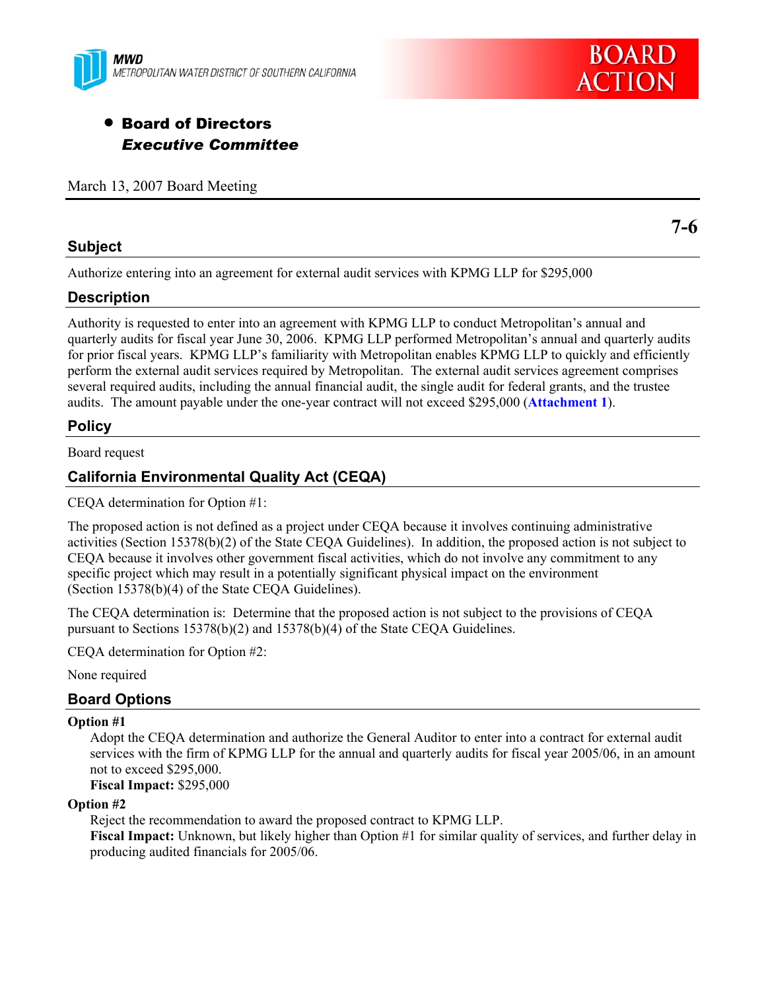



# • Board of Directors *Executive Committee*

March 13, 2007 Board Meeting

#### **Subject**

**7-6** 

Authorize entering into an agreement for external audit services with KPMG LLP for \$295,000

### **Description**

Authority is requested to enter into an agreement with KPMG LLP to conduct Metropolitan's annual and quarterly audits for fiscal year June 30, 2006. KPMG LLP performed Metropolitan's annual and quarterly audits for prior fiscal years. KPMG LLP's familiarity with Metropolitan enables KPMG LLP to quickly and efficiently perform the external audit services required by Metropolitan. The external audit services agreement comprises several required audits, including the annual financial audit, the single audit for federal grants, and the trustee audits. The amount payable under the one-year contract will not exceed \$295,000 (**Attachment 1**).

# **Policy**

Board request

# **California Environmental Quality Act (CEQA)**

CEQA determination for Option #1:

The proposed action is not defined as a project under CEQA because it involves continuing administrative activities (Section 15378(b)(2) of the State CEQA Guidelines). In addition, the proposed action is not subject to CEQA because it involves other government fiscal activities, which do not involve any commitment to any specific project which may result in a potentially significant physical impact on the environment (Section 15378(b)(4) of the State CEQA Guidelines).

The CEQA determination is: Determine that the proposed action is not subject to the provisions of CEQA pursuant to Sections 15378(b)(2) and 15378(b)(4) of the State CEQA Guidelines.

CEQA determination for Option #2:

None required

### **Board Options**

#### **Option #1**

Adopt the CEQA determination and authorize the General Auditor to enter into a contract for external audit services with the firm of KPMG LLP for the annual and quarterly audits for fiscal year 2005/06, in an amount not to exceed \$295,000.

**Fiscal Impact:** \$295,000

#### **Option #2**

Reject the recommendation to award the proposed contract to KPMG LLP.

**Fiscal Impact:** Unknown, but likely higher than Option #1 for similar quality of services, and further delay in producing audited financials for 2005/06.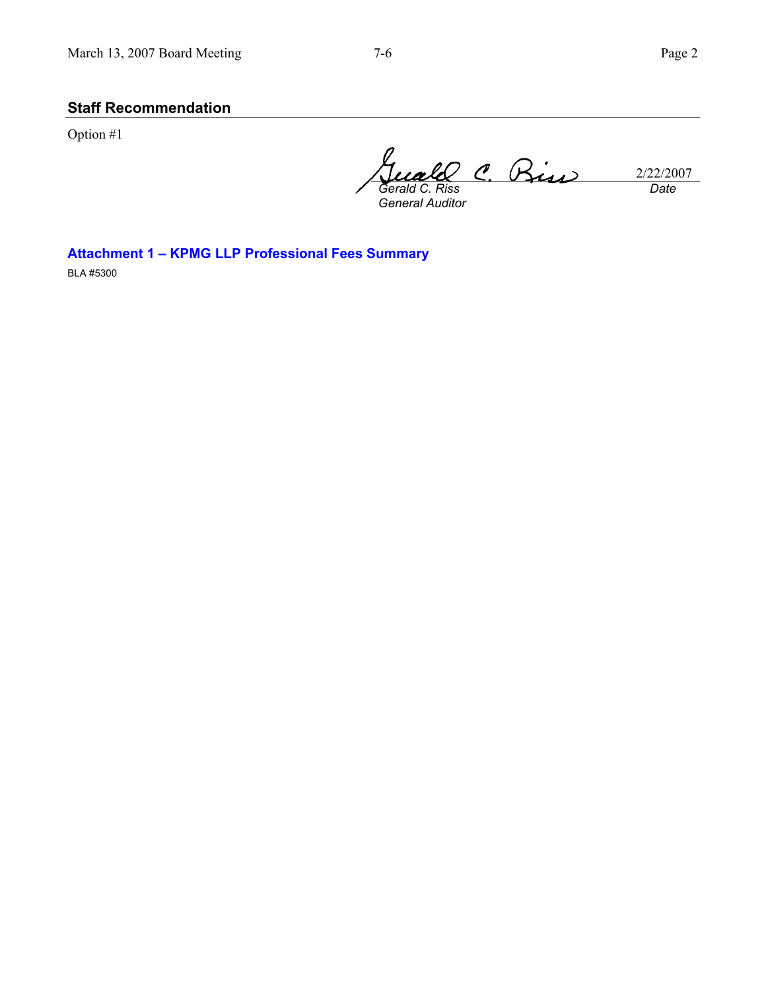# **Staff Recommendation**

Option #1

2/22/2007 *Gerald C. Riss Date* 

*General Auditor* 

**Attachment 1 – KPMG LLP Professional Fees Summary** 

BLA #5300